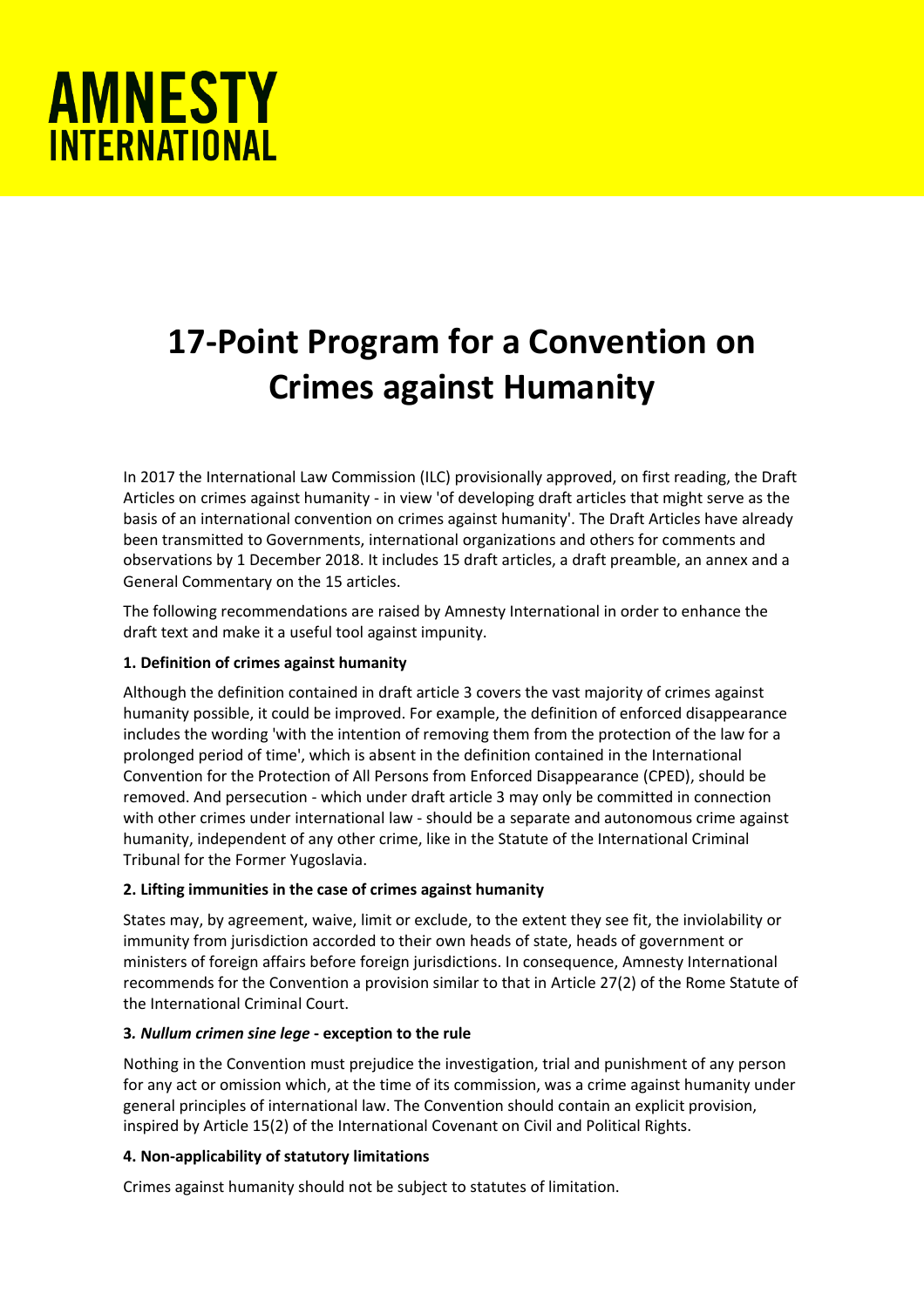

# **17-Point Program for a Convention on Crimes against Humanity**

In 2017 the International Law Commission (ILC) provisionally approved, on first reading, the Draft Articles on crimes against humanity - in view 'of developing draft articles that might serve as the basis of an international convention on crimes against humanity'. The Draft Articles have already been transmitted to Governments, international organizations and others for comments and observations by 1 December 2018. It includes 15 draft articles, a draft preamble, an annex and a General Commentary on the 15 articles.

The following recommendations are raised by Amnesty International in order to enhance the draft text and make it a useful tool against impunity.

# **1. Definition of crimes against humanity**

Although the definition contained in draft article 3 covers the vast majority of crimes against humanity possible, it could be improved. For example, the definition of enforced disappearance includes the wording 'with the intention of removing them from the protection of the law for a prolonged period of time', which is absent in the definition contained in the International Convention for the Protection of All Persons from Enforced Disappearance (CPED), should be removed. And persecution - which under draft article 3 may only be committed in connection with other crimes under international law - should be a separate and autonomous crime against humanity, independent of any other crime, like in the Statute of the International Criminal Tribunal for the Former Yugoslavia.

# **2. Lifting immunities in the case of crimes against humanity**

States may, by agreement, waive, limit or exclude, to the extent they see fit, the inviolability or immunity from jurisdiction accorded to their own heads of state, heads of government or ministers of foreign affairs before foreign jurisdictions. In consequence, Amnesty International recommends for the Convention a provision similar to that in Article 27(2) of the Rome Statute of the International Criminal Court.

#### **3***. Nullum crimen sine lege* **- exception to the rule**

Nothing in the Convention must prejudice the investigation, trial and punishment of any person for any act or omission which, at the time of its commission, was a crime against humanity under general principles of international law. The Convention should contain an explicit provision, inspired by Article 15(2) of the International Covenant on Civil and Political Rights.

# **4. Non-applicability of statutory limitations**

Crimes against humanity should not be subject to statutes of limitation.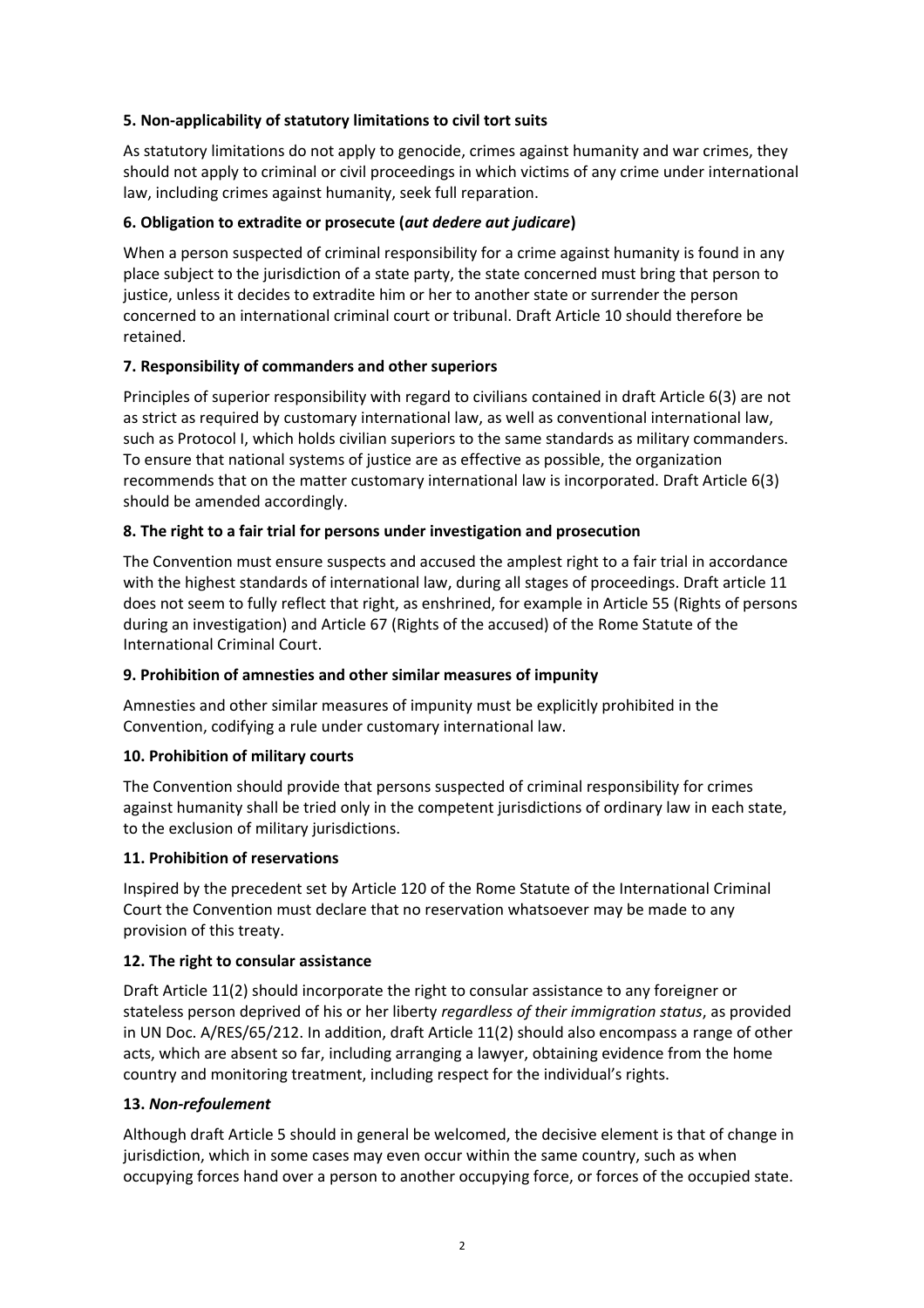# **5. Non-applicability of statutory limitations to civil tort suits**

As statutory limitations do not apply to genocide, crimes against humanity and war crimes, they should not apply to criminal or civil proceedings in which victims of any crime under international law, including crimes against humanity, seek full reparation.

## **6. Obligation to extradite or prosecute (***aut dedere aut judicare***)**

When a person suspected of criminal responsibility for a crime against humanity is found in any place subject to the jurisdiction of a state party, the state concerned must bring that person to justice, unless it decides to extradite him or her to another state or surrender the person concerned to an international criminal court or tribunal. Draft Article 10 should therefore be retained.

## **7. Responsibility of commanders and other superiors**

Principles of superior responsibility with regard to civilians contained in draft Article 6(3) are not as strict as required by customary international law, as well as conventional international law, such as Protocol I, which holds civilian superiors to the same standards as military commanders. To ensure that national systems of justice are as effective as possible, the organization recommends that on the matter customary international law is incorporated. Draft Article 6(3) should be amended accordingly.

## **8. The right to a fair trial for persons under investigation and prosecution**

The Convention must ensure suspects and accused the amplest right to a fair trial in accordance with the highest standards of international law, during all stages of proceedings. Draft article 11 does not seem to fully reflect that right, as enshrined, for example in Article 55 (Rights of persons during an investigation) and Article 67 (Rights of the accused) of the Rome Statute of the International Criminal Court.

#### **9. Prohibition of amnesties and other similar measures of impunity**

Amnesties and other similar measures of impunity must be explicitly prohibited in the Convention, codifying a rule under customary international law.

#### **10. Prohibition of military courts**

The Convention should provide that persons suspected of criminal responsibility for crimes against humanity shall be tried only in the competent jurisdictions of ordinary law in each state, to the exclusion of military jurisdictions.

#### **11. Prohibition of reservations**

Inspired by the precedent set by Article 120 of the Rome Statute of the International Criminal Court the Convention must declare that no reservation whatsoever may be made to any provision of this treaty.

#### **12. The right to consular assistance**

Draft Article 11(2) should incorporate the right to consular assistance to any foreigner or stateless person deprived of his or her liberty *regardless of their immigration status*, as provided in UN Doc. A/RES/65/212. In addition, draft Article 11(2) should also encompass a range of other acts, which are absent so far, including arranging a lawyer, obtaining evidence from the home country and monitoring treatment, including respect for the individual's rights.

#### **13.** *Non-refoulement*

Although draft Article 5 should in general be welcomed, the decisive element is that of change in jurisdiction, which in some cases may even occur within the same country, such as when occupying forces hand over a person to another occupying force, or forces of the occupied state.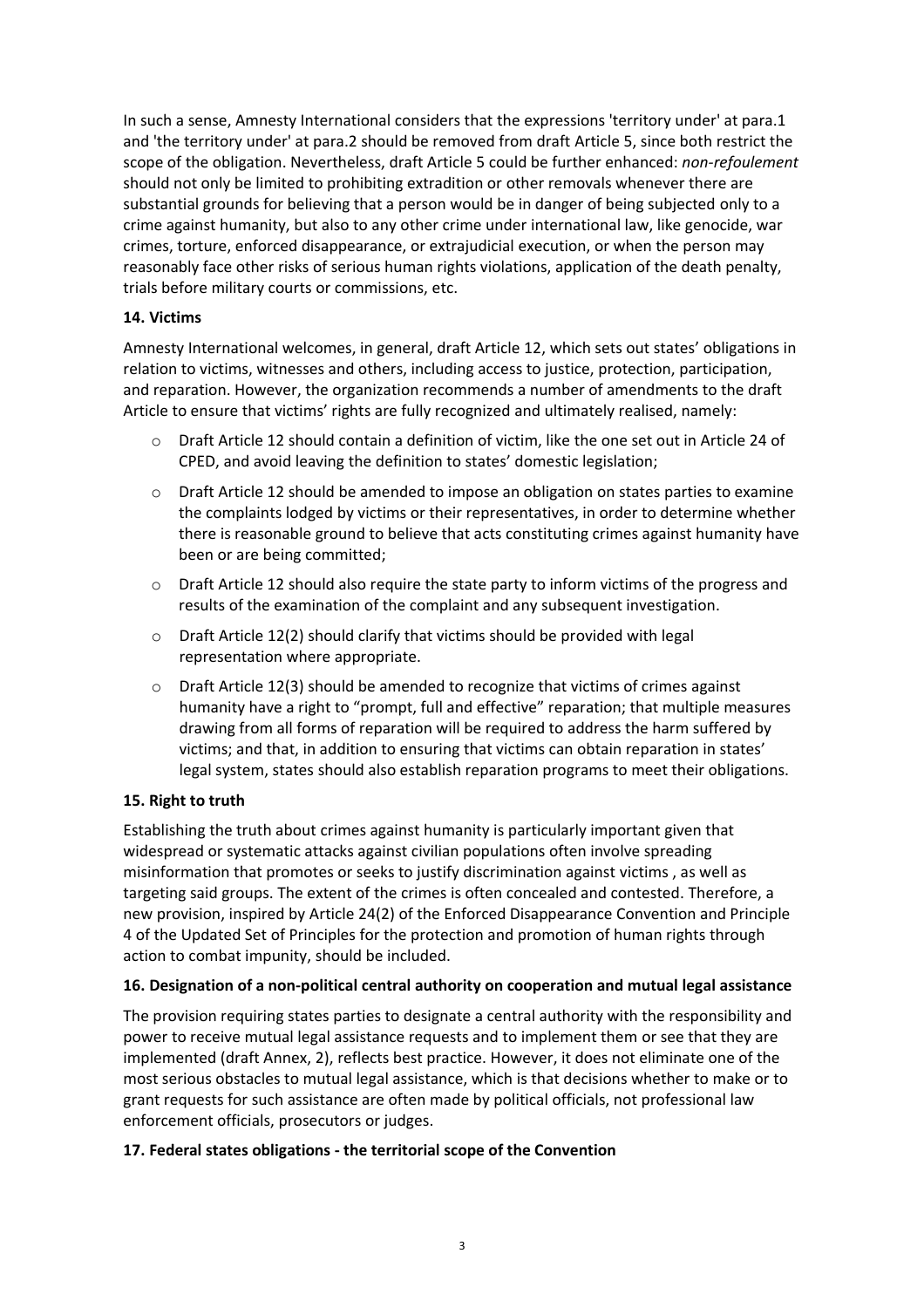In such a sense, Amnesty International considers that the expressions 'territory under' at para.1 and 'the territory under' at para.2 should be removed from draft Article 5, since both restrict the scope of the obligation. Nevertheless, draft Article 5 could be further enhanced: *non-refoulement* should not only be limited to prohibiting extradition or other removals whenever there are substantial grounds for believing that a person would be in danger of being subjected only to a crime against humanity, but also to any other crime under international law, like genocide, war crimes, torture, enforced disappearance, or extrajudicial execution, or when the person may reasonably face other risks of serious human rights violations, application of the death penalty, trials before military courts or commissions, etc.

## **14. Victims**

Amnesty International welcomes, in general, draft Article 12, which sets out states' obligations in relation to victims, witnesses and others, including access to justice, protection, participation, and reparation. However, the organization recommends a number of amendments to the draft Article to ensure that victims' rights are fully recognized and ultimately realised, namely:

- $\circ$  Draft Article 12 should contain a definition of victim, like the one set out in Article 24 of CPED, and avoid leaving the definition to states' domestic legislation;
- $\circ$  Draft Article 12 should be amended to impose an obligation on states parties to examine the complaints lodged by victims or their representatives, in order to determine whether there is reasonable ground to believe that acts constituting crimes against humanity have been or are being committed;
- o Draft Article 12 should also require the state party to inform victims of the progress and results of the examination of the complaint and any subsequent investigation.
- o Draft Article 12(2) should clarify that victims should be provided with legal representation where appropriate.
- $\circ$  Draft Article 12(3) should be amended to recognize that victims of crimes against humanity have a right to "prompt, full and effective" reparation; that multiple measures drawing from all forms of reparation will be required to address the harm suffered by victims; and that, in addition to ensuring that victims can obtain reparation in states' legal system, states should also establish reparation programs to meet their obligations.

#### **15. Right to truth**

Establishing the truth about crimes against humanity is particularly important given that widespread or systematic attacks against civilian populations often involve spreading misinformation that promotes or seeks to justify discrimination against victims , as well as targeting said groups. The extent of the crimes is often concealed and contested. Therefore, a new provision, inspired by Article 24(2) of the Enforced Disappearance Convention and Principle 4 of the Updated Set of Principles for the protection and promotion of human rights through action to combat impunity, should be included.

#### **16. Designation of a non-political central authority on cooperation and mutual legal assistance**

The provision requiring states parties to designate a central authority with the responsibility and power to receive mutual legal assistance requests and to implement them or see that they are implemented (draft Annex, 2), reflects best practice. However, it does not eliminate one of the most serious obstacles to mutual legal assistance, which is that decisions whether to make or to grant requests for such assistance are often made by political officials, not professional law enforcement officials, prosecutors or judges.

#### **17. Federal states obligations - the territorial scope of the Convention**